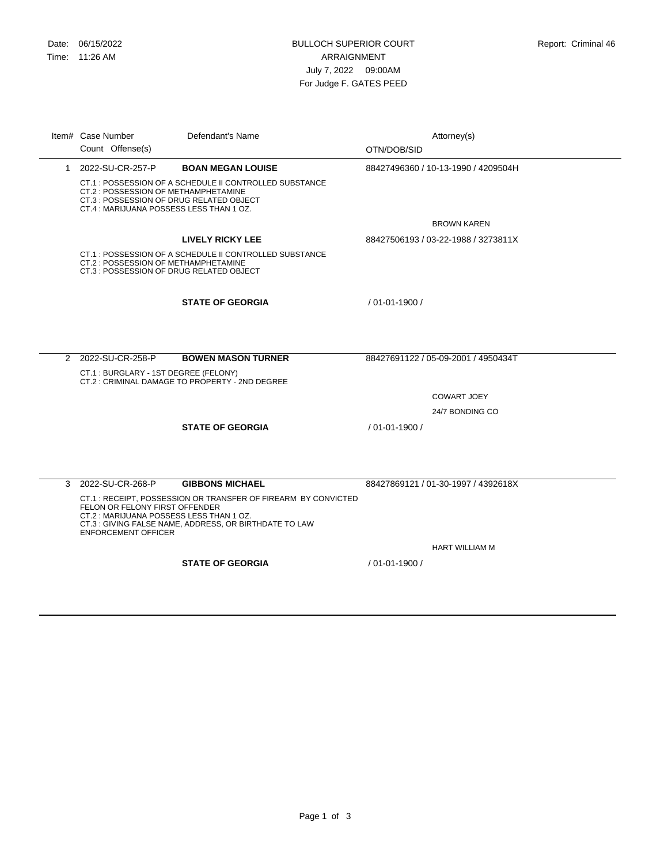CT.1 : POSSESSION OF A SCHEDULE II CONTROLLED SUBSTANCE CT.2 : POSSESSION OF METHAMPHETAMINE CT.3 : POSSESSION OF DRUG RELATED OBJECT CT.4 : MARIJUANA POSSESS LESS THAN 1 OZ. 1 2022-SU-CR-257-P **BOAN MEGAN LOUISE** BROWN KAREN 88427496360 / 10-13-1990 / 4209504H CT.1 : POSSESSION OF A SCHEDULE II CONTROLLED SUBSTANCE CT.2 : POSSESSION OF METHAMPHETAMINE CT.3 : POSSESSION OF DRUG RELATED OBJECT **LIVELY RICKY LEE** 88427506193 / 03-22-1988 / 3273811X **STATE OF GEORGIA** / 01-01-1900 / CT.1 : BURGLARY - 1ST DEGREE (FELONY) CT.2 : CRIMINAL DAMAGE TO PROPERTY - 2ND DEGREE 2 2022-SU-CR-258-P **BOWEN MASON TURNER** COWART JOEY 24/7 BONDING CO 88427691122 / 05-09-2001 / 4950434T **STATE OF GEORGIA** / 01-01-1900 / CT.1 : RECEIPT, POSSESSION OR TRANSFER OF FIREARM BY CONVICTED FELON OR FELONY FIRST OFFENDER CT.2 : MARIJUANA POSSESS LESS THAN 1 OZ. CT.3 : GIVING FALSE NAME, ADDRESS, OR BIRTHDATE TO LAW ENFORCEMENT OFFICER 3 2022-SU-CR-268-P **GIBBONS MICHAEL** HART WILLIAM M 88427869121 / 01-30-1997 / 4392618X Item# Case Number Defendant's Name **Interval and Attorney(s)** Attorney(s) Count Offense(s) Defendant's Name OTN/DOB/SID

**STATE OF GEORGIA** / 01-01-1900 /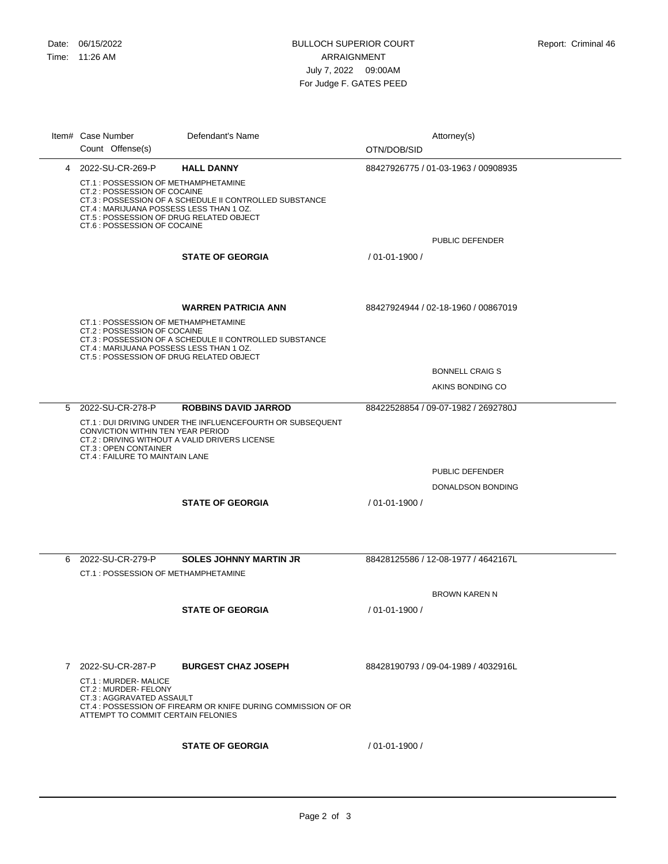|   | Item# Case Number                                                                                                                                                                                                                                       | Defendant's Name                                              |                    | Attorney(s)                         |
|---|---------------------------------------------------------------------------------------------------------------------------------------------------------------------------------------------------------------------------------------------------------|---------------------------------------------------------------|--------------------|-------------------------------------|
|   | Count Offense(s)                                                                                                                                                                                                                                        |                                                               | OTN/DOB/SID        |                                     |
|   | 4 2022-SU-CR-269-P                                                                                                                                                                                                                                      | <b>HALL DANNY</b>                                             |                    | 88427926775 / 01-03-1963 / 00908935 |
|   | CT.1 : POSSESSION OF METHAMPHETAMINE<br>CT.2 : POSSESSION OF COCAINE<br>CT.3 : POSSESSION OF A SCHEDULE II CONTROLLED SUBSTANCE<br>CT.4 : MARIJUANA POSSESS LESS THAN 1 OZ.<br>CT.5 : POSSESSION OF DRUG RELATED OBJECT<br>CT.6 : POSSESSION OF COCAINE |                                                               |                    |                                     |
|   |                                                                                                                                                                                                                                                         |                                                               |                    | PUBLIC DEFENDER                     |
|   |                                                                                                                                                                                                                                                         | <b>STATE OF GEORGIA</b>                                       | $/01 - 01 - 1900/$ |                                     |
|   |                                                                                                                                                                                                                                                         | <b>WARREN PATRICIA ANN</b>                                    |                    | 88427924944 / 02-18-1960 / 00867019 |
|   | CT.1 : POSSESSION OF METHAMPHETAMINE<br>CT.2 : POSSESSION OF COCAINE<br>CT.4 : MARIJUANA POSSESS LESS THAN 1 OZ.<br>CT.5 : POSSESSION OF DRUG RELATED OBJECT                                                                                            | CT.3 : POSSESSION OF A SCHEDULE II CONTROLLED SUBSTANCE       |                    |                                     |
|   |                                                                                                                                                                                                                                                         |                                                               |                    | <b>BONNELL CRAIG S</b>              |
|   |                                                                                                                                                                                                                                                         |                                                               |                    | AKINS BONDING CO                    |
| 5 | 2022-SU-CR-278-P                                                                                                                                                                                                                                        | <b>ROBBINS DAVID JARROD</b>                                   |                    | 88422528854 / 09-07-1982 / 2692780J |
|   | CT.1 : DUI DRIVING UNDER THE INFLUENCEFOURTH OR SUBSEQUENT<br>CONVICTION WITHIN TEN YEAR PERIOD<br>CT.2 : DRIVING WITHOUT A VALID DRIVERS LICENSE<br>CT.3 : OPEN CONTAINER<br>CT.4 : FAILURE TO MAINTAIN LANE                                           |                                                               |                    |                                     |
|   |                                                                                                                                                                                                                                                         |                                                               |                    | PUBLIC DEFENDER                     |
|   |                                                                                                                                                                                                                                                         |                                                               |                    | DONALDSON BONDING                   |
|   |                                                                                                                                                                                                                                                         | <b>STATE OF GEORGIA</b>                                       | $/01 - 01 - 1900/$ |                                     |
| 6 | 2022-SU-CR-279-P                                                                                                                                                                                                                                        | <b>SOLES JOHNNY MARTIN JR</b>                                 |                    | 88428125586 / 12-08-1977 / 4642167L |
|   | CT.1: POSSESSION OF METHAMPHETAMINE                                                                                                                                                                                                                     |                                                               |                    |                                     |
|   |                                                                                                                                                                                                                                                         |                                                               |                    | <b>BROWN KAREN N</b>                |
|   |                                                                                                                                                                                                                                                         | <b>STATE OF GEORGIA</b>                                       | / 01-01-1900 /     |                                     |
|   |                                                                                                                                                                                                                                                         |                                                               |                    |                                     |
| 7 | 2022-SU-CR-287-P                                                                                                                                                                                                                                        | <b>BURGEST CHAZ JOSEPH</b>                                    |                    | 88428190793 / 09-04-1989 / 4032916L |
|   | CT.1: MURDER- MALICE<br>CT.2: MURDER-FELONY<br>CT.3 : AGGRAVATED ASSAULT<br>ATTEMPT TO COMMIT CERTAIN FELONIES                                                                                                                                          | CT.4 : POSSESSION OF FIREARM OR KNIFE DURING COMMISSION OF OR |                    |                                     |
|   |                                                                                                                                                                                                                                                         | <b>STATE OF GEORGIA</b>                                       | / 01-01-1900 /     |                                     |